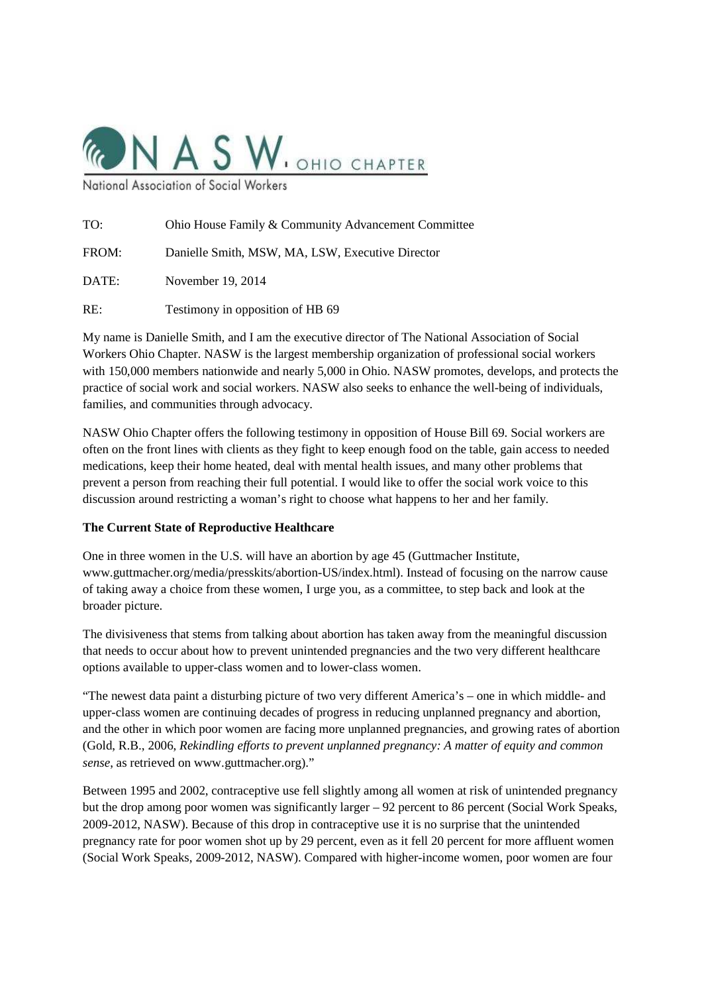

National Association of Social

| Ohio House Family & Community Advancement Committee |
|-----------------------------------------------------|
| Danielle Smith, MSW, MA, LSW, Executive Director    |
| November 19, 2014                                   |
|                                                     |

RE: Testimony in opposition of HB 69

My name is Danielle Smith, and I am the executive director of The National Association of Social Workers Ohio Chapter. NASW is the largest membership organization of professional social workers with 150,000 members nationwide and nearly 5,000 in Ohio. NASW promotes, develops, and protects the practice of social work and social workers. NASW also seeks to enhance the well-being of individuals, families, and communities through advocacy.

NASW Ohio Chapter offers the following testimony in opposition of House Bill 69. Social workers are often on the front lines with clients as they fight to keep enough food on the table, gain access to needed medications, keep their home heated, deal with mental health issues, and many other problems that prevent a person from reaching their full potential. I would like to offer the social work voice to this discussion around restricting a woman's right to choose what happens to her and her family.

## **The Current State of Reproductive Healthcare**

One in three women in the U.S. will have an abortion by age 45 (Guttmacher Institute, www.guttmacher.org/media/presskits/abortion-US/index.html). Instead of focusing on the narrow cause of taking away a choice from these women, I urge you, as a committee, to step back and look at the broader picture.

The divisiveness that stems from talking about abortion has taken away from the meaningful discussion that needs to occur about how to prevent unintended pregnancies and the two very different healthcare options available to upper-class women and to lower-class women.

"The newest data paint a disturbing picture of two very different America's – one in which middle- and upper-class women are continuing decades of progress in reducing unplanned pregnancy and abortion, and the other in which poor women are facing more unplanned pregnancies, and growing rates of abortion (Gold, R.B., 2006, *Rekindling efforts to prevent unplanned pregnancy: A matter of equity and common sense*, as retrieved on www.guttmacher.org)."

Between 1995 and 2002, contraceptive use fell slightly among all women at risk of unintended pregnancy but the drop among poor women was significantly larger – 92 percent to 86 percent (Social Work Speaks, 2009-2012, NASW). Because of this drop in contraceptive use it is no surprise that the unintended pregnancy rate for poor women shot up by 29 percent, even as it fell 20 percent for more affluent women (Social Work Speaks, 2009-2012, NASW). Compared with higher-income women, poor women are four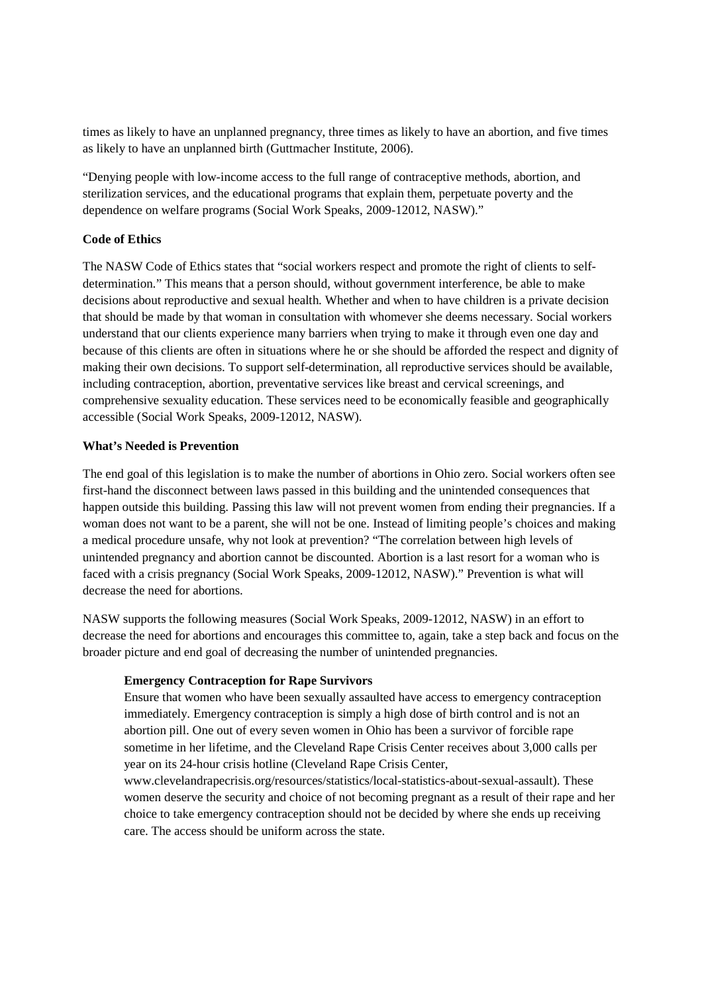times as likely to have an unplanned pregnancy, three times as likely to have an abortion, and five times as likely to have an unplanned birth (Guttmacher Institute, 2006).

"Denying people with low-income access to the full range of contraceptive methods, abortion, and sterilization services, and the educational programs that explain them, perpetuate poverty and the dependence on welfare programs (Social Work Speaks, 2009-12012, NASW)."

# **Code of Ethics**

The NASW Code of Ethics states that "social workers respect and promote the right of clients to selfdetermination." This means that a person should, without government interference, be able to make decisions about reproductive and sexual health. Whether and when to have children is a private decision that should be made by that woman in consultation with whomever she deems necessary. Social workers understand that our clients experience many barriers when trying to make it through even one day and because of this clients are often in situations where he or she should be afforded the respect and dignity of making their own decisions. To support self-determination, all reproductive services should be available, including contraception, abortion, preventative services like breast and cervical screenings, and comprehensive sexuality education. These services need to be economically feasible and geographically accessible (Social Work Speaks, 2009-12012, NASW).

### **What's Needed is Prevention**

The end goal of this legislation is to make the number of abortions in Ohio zero. Social workers often see first-hand the disconnect between laws passed in this building and the unintended consequences that happen outside this building. Passing this law will not prevent women from ending their pregnancies. If a woman does not want to be a parent, she will not be one. Instead of limiting people's choices and making a medical procedure unsafe, why not look at prevention? "The correlation between high levels of unintended pregnancy and abortion cannot be discounted. Abortion is a last resort for a woman who is faced with a crisis pregnancy (Social Work Speaks, 2009-12012, NASW)." Prevention is what will decrease the need for abortions.

NASW supports the following measures (Social Work Speaks, 2009-12012, NASW) in an effort to decrease the need for abortions and encourages this committee to, again, take a step back and focus on the broader picture and end goal of decreasing the number of unintended pregnancies.

## **Emergency Contraception for Rape Survivors**

Ensure that women who have been sexually assaulted have access to emergency contraception immediately. Emergency contraception is simply a high dose of birth control and is not an abortion pill. One out of every seven women in Ohio has been a survivor of forcible rape sometime in her lifetime, and the Cleveland Rape Crisis Center receives about 3,000 calls per year on its 24-hour crisis hotline (Cleveland Rape Crisis Center,

www.clevelandrapecrisis.org/resources/statistics/local-statistics-about-sexual-assault). These women deserve the security and choice of not becoming pregnant as a result of their rape and her choice to take emergency contraception should not be decided by where she ends up receiving care. The access should be uniform across the state.